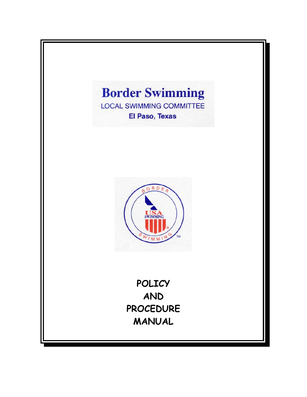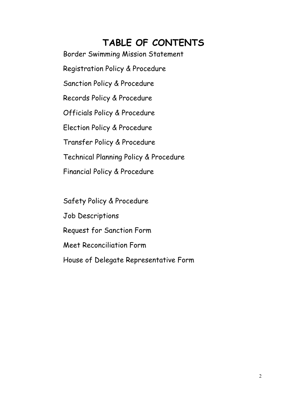## **TABLE OF CONTENTS**

Border Swimming Mission Statement

Registration Policy & Procedure

Sanction Policy & Procedure

Records Policy & Procedure

Officials Policy & Procedure

Election Policy & Procedure

Transfer Policy & Procedure

Technical Planning Policy & Procedure

Financial Policy & Procedure

 Safety Policy & Procedure Job Descriptions Request for Sanction Form Meet Reconciliation Form House of Delegate Representative Form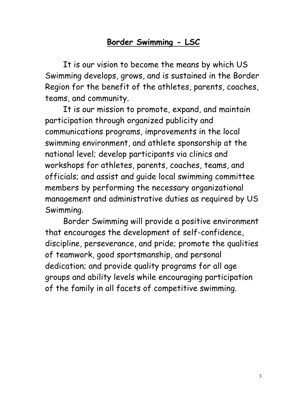## **Border Swimming - LSC**

It is our vision to become the means by which US Swimming develops, grows, and is sustained in the Border Region for the benefit of the athletes, parents, coaches, teams, and community.

It is our mission to promote, expand, and maintain participation through organized publicity and communications programs, improvements in the local swimming environment, and athlete sponsorship at the national level; develop participants via clinics and workshops for athletes, parents, coaches, teams, and officials; and assist and guide local swimming committee members by performing the necessary organizational management and administrative duties as required by US Swimming.

Border Swimming will provide a positive environment that encourages the development of self-confidence, discipline, perseverance, and pride; promote the qualities of teamwork, good sportsmanship, and personal dedication; and provide quality programs for all age groups and ability levels while encouraging participation of the family in all facets of competitive swimming.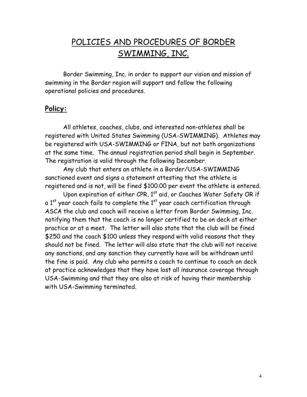## POLICIES AND PROCEDURES OF BORDER SWIMMING, INC.

Border Swimming, Inc. in order to support our vision and mission of swimming in the Border region will support and follow the following operational policies and procedures.

#### **Policy:**

All athletes, coaches, clubs, and interested non-athletes shall be registered with United States Swimming (USA-SWIMMING). Athletes may be registered with USA-SWIMMING or FINA, but not both organizations at the same time. The annual registration period shall begin in September. The registration is valid through the following December.

Any club that enters an athlete in a Border/USA-SWIMMING sanctioned event and signs a statement attesting that the athlete is registered and is not, will be fined \$100.00 per event the athlete is entered.

Upon expiration of either CPR,  $1<sup>st</sup>$  aid, or Coaches Water Safety OR if a  $1<sup>st</sup>$  year coach fails to complete the  $1<sup>st</sup>$  year coach certification through ASCA the club and coach will receive a letter from Border Swimming, Inc. notifying them that the coach is no longer certified to be on deck at either practice or at a meet. The letter will also state that the club will be fined \$250 and the coach \$100 unless they respond with valid reasons that they should not be fined. The letter will also state that the club will not receive any sanctions, and any sanction they currently have will be withdrawn until the fine is paid. Any club who permits a coach to continue to coach on deck at practice acknowledges that they have lost all insurance coverage through USA-Swimming and that they are also at risk of having their membership with USA-Swimming terminated.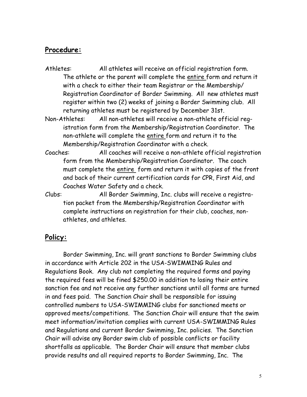#### **Procedure:**

- Athletes: All athletes will receive an official registration form. The athlete or the parent will complete the entire form and return it with a check to either their team Registrar or the Membership/ Registration Coordinator of Border Swimming. All new athletes must register within two (2) weeks of joining a Border Swimming club. All returning athletes must be registered by December 31st.
- Non-Athletes: All non-athletes will receive a non-athlete official registration form from the Membership/Registration Coordinator. The non-athlete will complete the entire form and return it to the Membership/Registration Coordinator with a check.
- Coaches: All coaches will receive a non-athlete official registration form from the Membership/Registration Coordinator. The coach must complete the entire form and return it with copies of the front and back of their current certification cards for CPR, First Aid, and Coaches Water Safety and a check.
- Clubs: All Border Swimming, Inc. clubs will receive a registration packet from the Membership/Registration Coordinator with complete instructions on registration for their club, coaches, nonathletes, and athletes.

#### **Policy:**

Border Swimming, Inc. will grant sanctions to Border Swimming clubs in accordance with Article 202 in the USA-SWIMMING Rules and Regulations Book. Any club not completing the required forms and paying the required fees will be fined \$250.00 in addition to losing their entire sanction fee and not receive any further sanctions until all forms are turned in and fees paid. The Sanction Chair shall be responsible for issuing controlled numbers to USA-SWIMMING clubs for sanctioned meets or approved meets/competitions. The Sanction Chair will ensure that the swim meet information/invitation complies with current USA-SWIMMING Rules and Regulations and current Border Swimming, Inc. policies. The Sanction Chair will advise any Border swim club of possible conflicts or facility shortfalls as applicable. The Border Chair will ensure that member clubs provide results and all required reports to Border Swimming, Inc. The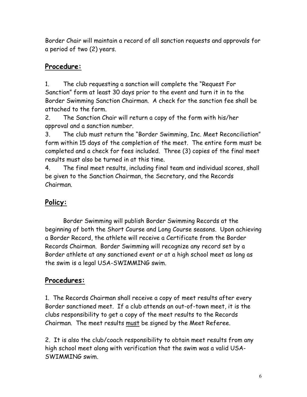Border Chair will maintain a record of all sanction requests and approvals for a period of two (2) years.

## **Procedure:**

1. The club requesting a sanction will complete the "Request For Sanction" form at least 30 days prior to the event and turn it in to the Border Swimming Sanction Chairman. A check for the sanction fee shall be attached to the form.

2. The Sanction Chair will return a copy of the form with his/her approval and a sanction number.

3. The club must return the "Border Swimming, Inc. Meet Reconciliation" form within 15 days of the completion of the meet. The entire form must be completed and a check for fees included. Three (3) copies of the final meet results must also be turned in at this time.

4. The final meet results, including final team and individual scores, shall be given to the Sanction Chairman, the Secretary, and the Records Chairman.

## **Policy:**

Border Swimming will publish Border Swimming Records at the beginning of both the Short Course and Long Course seasons. Upon achieving a Border Record, the athlete will receive a Certificate from the Border Records Chairman. Border Swimming will recognize any record set by a Border athlete at any sanctioned event or at a high school meet as long as the swim is a legal USA-SWIMMING swim.

## **Procedures:**

1. The Records Chairman shall receive a copy of meet results after every Border sanctioned meet. If a club attends an out-of-town meet, it is the clubs responsibility to get a copy of the meet results to the Records Chairman. The meet results must be signed by the Meet Referee.

2. It is also the club/coach responsibility to obtain meet results from any high school meet along with verification that the swim was a valid USA-SWIMMING swim.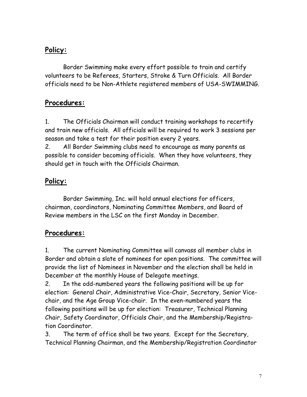## **Policy:**

Border Swimming make every effort possible to train and certify volunteers to be Referees, Starters, Stroke & Turn Officials. All Border officials need to be Non-Athlete registered members of USA-SWIMMING.

#### **Procedures:**

1. The Officials Chairman will conduct training workshops to recertify and train new officials. All officials will be required to work 3 sessions per season and take a test for their position every 2 years.

2. All Border Swimming clubs need to encourage as many parents as possible to consider becoming officials. When they have volunteers, they should get in touch with the Officials Chairman.

## **Policy:**

Border Swimming, Inc. will hold annual elections for officers, chairman, coordinators, Nominating Committee Members, and Board of Review members in the LSC on the first Monday in December.

## **Procedures:**

1. The current Nominating Committee will canvass all member clubs in Border and obtain a slate of nominees for open positions. The committee will provide the list of Nominees in November and the election shall be held in December at the monthly House of Delegate meetings.

2. In the odd-numbered years the following positions will be up for election: General Chair, Administrative Vice-Chair, Secretary, Senior Vicechair, and the Age Group Vice-chair. In the even-numbered years the following positions will be up for election: Treasurer, Technical Planning Chair, Safety Coordinator, Officials Chair, and the Membership/Registration Coordinator.

3. The term of office shall be two years. Except for the Secretary, Technical Planning Chairman, and the Membership/Registration Coordinator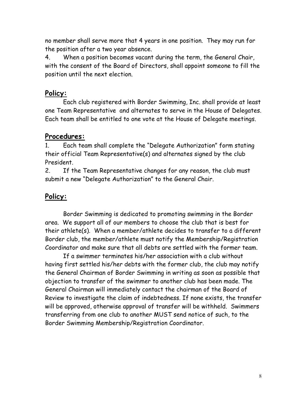no member shall serve more that 4 years in one position. They may run for the position after a two year absence.

4. When a position becomes vacant during the term, the General Chair, with the consent of the Board of Directors, shall appoint someone to fill the position until the next election.

#### **Policy:**

Each club registered with Border Swimming, Inc. shall provide at least one Team Representative and alternates to serve in the House of Delegates. Each team shall be entitled to one vote at the House of Delegate meetings.

#### **Procedures:**

1. Each team shall complete the "Delegate Authorization" form stating their official Team Representative(s) and alternates signed by the club President.

2. If the Team Representative changes for any reason, the club must submit a new "Delegate Authorization" to the General Chair.

#### **Policy:**

Border Swimming is dedicated to promoting swimming in the Border area. We support all of our members to choose the club that is best for their athlete(s). When a member/athlete decides to transfer to a different Border club, the member/athlete must notify the Membership/Registration Coordinator and make sure that all debts are settled with the former team.

If a swimmer terminates his/her association with a club without having first settled his/her debts with the former club, the club may notify the General Chairman of Border Swimming in writing as soon as possible that objection to transfer of the swimmer to another club has been made. The General Chairman will immediately contact the chairman of the Board of Review to investigate the claim of indebtedness. If none exists, the transfer will be approved, otherwise approval of transfer will be withheld. Swimmers transferring from one club to another MUST send notice of such, to the Border Swimming Membership/Registration Coordinator.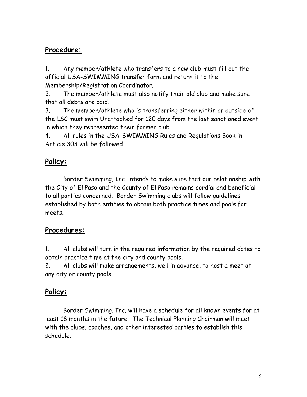## **Procedure:**

1. Any member/athlete who transfers to a new club must fill out the official USA-SWIMMING transfer form and return it to the Membership/Registration Coordinator.

2. The member/athlete must also notify their old club and make sure that all debts are paid.

3. The member/athlete who is transferring either within or outside of the LSC must swim Unattached for 120 days from the last sanctioned event in which they represented their former club.

4. All rules in the USA-SWIMMING Rules and Regulations Book in Article 303 will be followed.

## **Policy:**

Border Swimming, Inc. intends to make sure that our relationship with the City of El Paso and the County of El Paso remains cordial and beneficial to all parties concerned. Border Swimming clubs will follow guidelines established by both entities to obtain both practice times and pools for meets.

## **Procedures:**

1. All clubs will turn in the required information by the required dates to obtain practice time at the city and county pools.

2. All clubs will make arrangements, well in advance, to host a meet at any city or county pools.

## **Policy:**

Border Swimming, Inc. will have a schedule for all known events for at least 18 months in the future. The Technical Planning Chairman will meet with the clubs, coaches, and other interested parties to establish this schedule.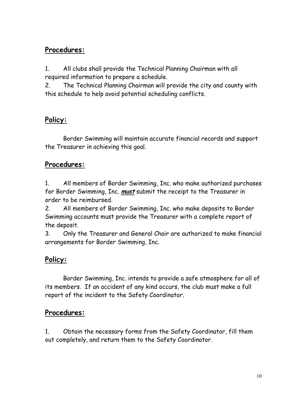## **Procedures:**

1. All clubs shall provide the Technical Planning Chairman with all required information to prepare a schedule.

2. The Technical Planning Chairman will provide the city and county with this schedule to help avoid potential scheduling conflicts.

## **Policy:**

Border Swimming will maintain accurate financial records and support the Treasurer in achieving this goal.

## **Procedures:**

1. All members of Border Swimming, Inc. who make authorized purchases for Border Swimming, Inc. **must** submit the receipt to the Treasurer in order to be reimbursed.

2. All members of Border Swimming, Inc. who make deposits to Border Swimming accounts must provide the Treasurer with a complete report of the deposit.

3. Only the Treasurer and General Chair are authorized to make financial arrangements for Border Swimming, Inc.

## **Policy:**

Border Swimming, Inc. intends to provide a safe atmosphere for all of its members. If an accident of any kind occurs, the club must make a full report of the incident to the Safety Coordinator.

#### **Procedures:**

1. Obtain the necessary forms from the Safety Coordinator, fill them out completely, and return them to the Safety Coordinator.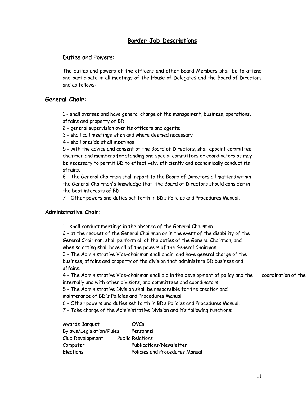#### **Border Job Descriptions**

Duties and Powers:

The duties and powers of the officers and other Board Members shall be to attend and participate in all meetings of the House of Delegates and the Board of Directors and as follows:

#### **General Chair:**

1 - shall oversee and have general charge of the management, business, operations, affairs and property of BD

2 - general supervision over its officers and agents;

3 - shall call meetings when and where deemed necessary

4 - shall preside at all meetings

5 - with the advice and consent of the Board of Directors, shall appoint committee chairmen and members for standing and special committees or coordinators as may be necessary to permit BD to effectively, efficiently and economically conduct its affairs.

6 - The General Chairman shall report to the Board of Directors all matters within the General Chairman's knowledge that the Board of Directors should consider in the best interests of BD

7 - Other powers and duties set forth in BD's Policies and Procedures Manual.

#### **Administrative Chair:**

1 - shall conduct meetings in the absence of the General Chairman

2 - at the request of the General Chairman or in the event of the disability of the General Chairman, shall perform all of the duties of the General Chairman, and when so acting shall have all of the powers of the General Chairman.

3 - The Administrative Vice-chairman shall chair, and have general charge of the business, affairs and property of the division that administers BD business and affairs.

4 - The Administrative Vice-chairman shall aid in the development of policy and the coordination of the internally and with other divisions, and committees and coordinators.

5 - The Administrative Division shall be responsible for the creation and

maintenance of BD's Policies and Procedures Manual

6 - Other powers and duties set forth in BD's Policies and Procedures Manual.

7 - Take charge of the Administrative Division and it's following functions:

| Awards Banquet           | <b>OVCs</b>                    |
|--------------------------|--------------------------------|
| Bylaws/Legislation/Rules | Personnel                      |
| Club Development         | <b>Public Relations</b>        |
| Computer                 | Publications/Newsletter        |
| <b>Elections</b>         | Policies and Procedures Manual |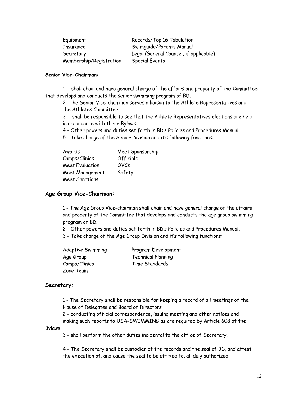| Equipment               | Records/Top 16 Tabulation              |
|-------------------------|----------------------------------------|
| Insurance               | Swimquide/Parents Manual               |
| Secretary               | Legal (General Counsel, if applicable) |
| Membership/Registration | <b>Special Events</b>                  |

#### **Senior Vice-Chairman:**

1 - shall chair and have general charge of the affairs and property of the Committee that develops and conducts the senior swimming program of BD.

2- The Senior Vice-chairman serves a liaison to the Athlete Representatives and the Athletes Committee

3 - shall be responsible to see that the Athlete Representatives elections are held in accordance with these Bylaws.

4 - Other powers and duties set forth in BD's Policies and Procedures Manual.

5 - Take charge of the Senior Division and it's following functions:

| Awards                 | Meet Sponsorship |
|------------------------|------------------|
| Camps/Clinics          | <b>Officials</b> |
| <b>Meet Evaluation</b> | <b>OVCs</b>      |
| Meet Management        | Safety           |
| <b>Meet Sanctions</b>  |                  |

#### **Age Group Vice-Chairman:**

1 - The Age Group Vice-chairman shall chair and have general charge of the affairs and property of the Committee that develops and conducts the age group swimming program of BD.

2 - Other powers and duties set forth in BD's Policies and Procedures Manual.

3 - Take charge of the Age Group Division and it's following functions:

| <b>Adaptive Swimming</b> | Program Development       |
|--------------------------|---------------------------|
| Age Group                | <b>Technical Planning</b> |
| Camps/Clinics            | Time Standards            |
| Zone Team                |                           |

#### **Secretary:**

1 - The Secretary shall be responsible for keeping a record of all meetings of the House of Delegates and Board of Directors

2 - conducting official correspondence, issuing meeting and other notices and making such reports to USA-SWIMMING as are required by Article 608 of the

#### Bylaws

3 - shall perform the other duties incidental to the office of Secretary.

4 - The Secretary shall be custodian of the records and the seal of BD, and attest the execution of, and cause the seal to be affixed to, all duly authorized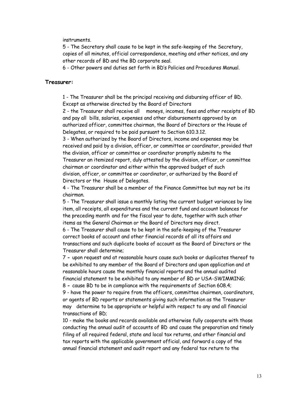#### instruments.

5 - The Secretary shall cause to be kept in the safe-keeping of the Secretary, copies of all minutes, official correspondence, meeting and other notices, and any other records of BD and the BD corporate seal.

6 - Other powers and duties set forth in BD's Policies and Procedures Manual.

#### **Treasurer:**

1 - The Treasurer shall be the principal receiving and disbursing officer of BD. Except as otherwise directed by the Board of Directors

2 - the Treasurer shall receive all moneys, incomes, fees and other receipts of BD and pay all bills, salaries, expenses and other disbursements approved by an authorized officer, committee chairman, the Board of Directors or the House of Delegates, or required to be paid pursuant to Section 610.3.12.

3 - When authorized by the Board of Directors, income and expenses may be received and paid by a division, officer, or committee or coordinator, provided that the division, officer or committee or coordinator promptly submits to the Treasurer an itemized report, duly attested by the division, officer, or committee chairman or coordinator and either within the approved budget of such division, officer, or committee or coordinator, or authorized by the Board of Directors or the House of Delegates.

4 - The Treasurer shall be a member of the Finance Committee but may not be its chairman.

5 - The Treasurer shall issue a monthly listing the current budget variances by line item, all receipts, all expenditures and the current fund and account balances for the preceding month and for the fiscal year to date, together with such other items as the General Chairman or the Board of Directors may direct.

6 - The Treasurer shall cause to be kept in the safe-keeping of the Treasurer correct books of account and other financial records of all its affairs and transactions and such duplicate books of account as the Board of Directors or the Treasurer shall determine;

 7 **-** upon request and at reasonable hours cause such books or duplicates thereof to be exhibited to any member of the Board of Directors and upon application and at reasonable hours cause the monthly financial reports and the annual audited financial statement to be exhibited to any member of BD or USA-SWIMMING;

8 **-** cause BD to be in compliance with the requirements of Section 608.4;

9 - have the power to require from the officers, committee chairmen, coordinators, or agents of BD reports or statements giving such information as the Treasurer may determine to be appropriate or helpful with respect to any and all financial transactions of BD;

10 - make the books and records available and otherwise fully cooperate with those conducting the annual audit of accounts of BD and cause the preparation and timely filing of all required federal, state and local tax returns, and other financial and tax reports with the applicable government official, and forward a copy of the annual financial statement and audit report and any federal tax return to the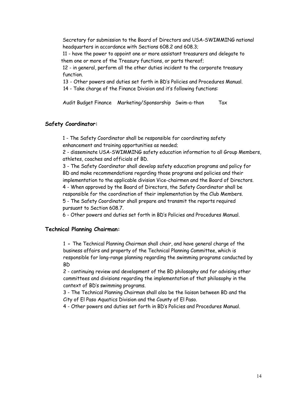Secretary for submission to the Board of Directors and USA-SWIMMING national headquarters in accordance with Sections 608.2 and 608.3;

11 - have the power to appoint one or more assistant treasurers and delegate to them one or more of the Treasury functions, or parts thereof;

12 - in general, perform all the other duties incident to the corporate treasury function.

13 - Other powers and duties set forth in BD's Policies and Procedures Manual.

14 - Take charge of the Finance Division and it's following functions:

Audit Budget Finance Marketing/Sponsorship Swim-a-thon Tax

#### **Safety Coordinator:**

1 - The Safety Coordinator shall be responsible for coordinating safety enhancement and training opportunities as needed;

2 - disseminate USA-SWIMMING safety education information to all Group Members, athletes, coaches and officials of BD.

3 - The Safety Coordinator shall develop safety education programs and policy for BD and make recommendations regarding those programs and policies and their implementation to the applicable division Vice-chairmen and the Board of Directors. 4 - When approved by the Board of Directors, the Safety Coordinator shall be responsible for the coordination of their implementation by the Club Members.

5 - The Safety Coordinator shall prepare and transmit the reports required

pursuant to Section 608.7.

6 - Other powers and duties set forth in BD's Policies and Procedures Manual.

#### **Technical Planning Chairman:**

1 **-** The Technical Planning Chairman shall chair, and have general charge of the business affairs and property of the Technical Planning Committee, which is responsible for long-range planning regarding the swimming programs conducted by BD

2 - continuing review and development of the BD philosophy and for advising other committees and divisions regarding the implementation of that philosophy in the context of BD's swimming programs.

3 - The Technical Planning Chairman shall also be the liaison between BD and the City of El Paso Aquatics Division and the County of El Paso.

4 - Other powers and duties set forth in BD's Policies and Procedures Manual.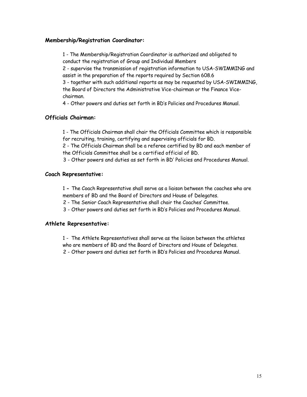#### **Membership/Registration Coordinator:**

1 - The Membership/Registration Coordinator is authorized and obligated to conduct the registration of Group and Individual Members

2 - supervise the transmission of registration information to USA-SWIMMING and assist in the preparation of the reports required by Section 608.6

3 - together with such additional reports as may be requested by USA-SWIMMING, the Board of Directors the Administrative Vice-chairman or the Finance Vicechairman.

4 - Other powers and duties set forth in BD's Policies and Procedures Manual.

#### **Officials Chairman:**

1 - The Officials Chairman shall chair the Officials Committee which is responsible for recruiting, training, certifying and supervising officials for BD.

2 - The Officials Chairman shall be a referee certified by BD and each member of the Officials Committee shall be a certified official of BD.

3 - Other powers and duties as set forth in BD' Policies and Procedures Manual.

#### **Coach Representative:**

1 **-** The Coach Representative shall serve as a liaison between the coaches who are members of BD and the Board of Directors and House of Delegates.

2 - The Senior Coach Representative shall chair the Coaches' Committee.

3 - Other powers and duties set forth in BD's Policies and Procedures Manual.

#### **Athlete Representative:**

1 - The Athlete Representatives shall serve as the liaison between the athletes who are members of BD and the Board of Directors and House of Delegates.

2 - Other powers and duties set forth in BD's Policies and Procedures Manual.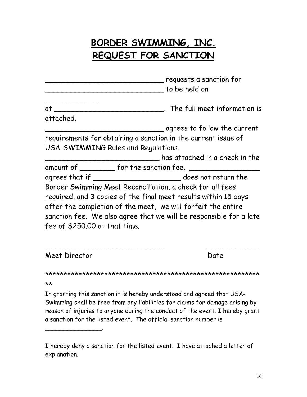## **BORDER SWIMMING, INC. REQUEST FOR SANCTION**

|                               | requests a sanction for                                            |
|-------------------------------|--------------------------------------------------------------------|
|                               | to be held on                                                      |
| at                            | $\blacksquare$ The full meet information is                        |
| attached.                     |                                                                    |
|                               | $\_$ agrees to follow the current                                  |
|                               | requirements for obtaining a sanction in the current issue of      |
|                               | USA-SWIMMING Rules and Regulations.                                |
|                               | has attached in a check in the                                     |
|                               | amount of __________ for the sanction fee. ______                  |
|                               |                                                                    |
|                               | Border Swimming Meet Reconciliation, a check for all fees          |
|                               | required, and 3 copies of the final meet results within 15 days    |
|                               | after the completion of the meet, we will forfeit the entire       |
|                               | sanction fee. We also agree that we will be responsible for a late |
| fee of \$250.00 at that time. |                                                                    |
|                               |                                                                    |

Meet Director **Date** 

\_\_\_\_\_\_\_\_\_\_\_\_\_\_\_.

\*\*\*\*\*\*\*\*\*\*\*\*\*\*\*\*\*\*\*\*\*\*\*\*\*\*\*\*\*\*\*\*\*\*\*\*\*\*\*\*\*\*\*\*\*\*\*\*\*\*\*\*\*\*\*\*\*\* \*\*

 $\overline{\phantom{a}}$  , and the contract of the contract of the contract of the contract of the contract of the contract of the contract of the contract of the contract of the contract of the contract of the contract of the contrac

In granting this sanction it is hereby understood and agreed that USA-Swimming shall be free from any liabilities for claims for damage arising by reason of injuries to anyone during the conduct of the event. I hereby grant a sanction for the listed event. The official sanction number is

I hereby deny a sanction for the listed event. I have attached a letter of explanation.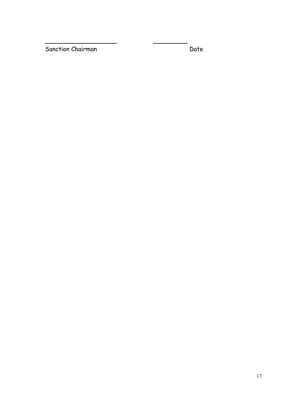Sanction Chairman Date Date

**\_\_\_\_\_\_\_\_\_\_\_\_\_\_\_\_\_\_\_ \_\_\_\_\_\_\_\_\_**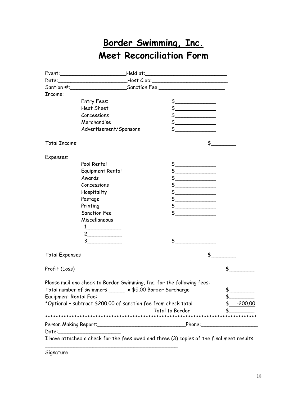## **Border Swimming, Inc. Meet Reconciliation Form**

|                                                                |                                                                        |                                        | Event:_______________________________Held at:___________________________________                                                                                                                                               |     |
|----------------------------------------------------------------|------------------------------------------------------------------------|----------------------------------------|--------------------------------------------------------------------------------------------------------------------------------------------------------------------------------------------------------------------------------|-----|
|                                                                |                                                                        |                                        |                                                                                                                                                                                                                                |     |
|                                                                |                                                                        | Santion #: Sanction Fee: Sanction Fee: |                                                                                                                                                                                                                                |     |
| Income:                                                        |                                                                        |                                        |                                                                                                                                                                                                                                |     |
|                                                                | Entry Fees:                                                            |                                        | $\frac{1}{2}$                                                                                                                                                                                                                  |     |
|                                                                | <b>Heat Sheet</b>                                                      |                                        | $\frac{1}{2}$                                                                                                                                                                                                                  |     |
|                                                                | Concessions                                                            |                                        | $\frac{1}{2}$                                                                                                                                                                                                                  |     |
|                                                                | Merchandise                                                            |                                        | $\frac{1}{2}$                                                                                                                                                                                                                  |     |
|                                                                | Advertisement/Sponsors                                                 |                                        | $\updownarrow$                                                                                                                                                                                                                 |     |
| <b>Total Income:</b>                                           |                                                                        |                                        | \$__                                                                                                                                                                                                                           |     |
| Expenses:                                                      |                                                                        |                                        |                                                                                                                                                                                                                                |     |
|                                                                | Pool Rental                                                            |                                        |                                                                                                                                                                                                                                |     |
|                                                                | Equipment Rental                                                       |                                        |                                                                                                                                                                                                                                |     |
|                                                                | Awards                                                                 |                                        | $\frac{1}{2}$                                                                                                                                                                                                                  |     |
|                                                                | Concessions                                                            |                                        | and the state of the state of the state                                                                                                                                                                                        |     |
|                                                                | Hospitality                                                            |                                        |                                                                                                                                                                                                                                |     |
|                                                                | Postage                                                                |                                        | $\frac{1}{2}$                                                                                                                                                                                                                  |     |
|                                                                | Printing                                                               |                                        |                                                                                                                                                                                                                                |     |
|                                                                | <b>Sanction Fee</b>                                                    |                                        |                                                                                                                                                                                                                                |     |
|                                                                | Miscellaneous                                                          |                                        |                                                                                                                                                                                                                                |     |
|                                                                |                                                                        |                                        |                                                                                                                                                                                                                                |     |
|                                                                |                                                                        |                                        |                                                                                                                                                                                                                                |     |
|                                                                | 3                                                                      |                                        | $\frac{1}{2}$                                                                                                                                                                                                                  |     |
| <b>Total Expenses</b>                                          |                                                                        |                                        | \$                                                                                                                                                                                                                             |     |
| Profit (Loss)                                                  |                                                                        |                                        |                                                                                                                                                                                                                                | \$. |
|                                                                | Please mail one check to Border Swimming, Inc. for the following fees: |                                        |                                                                                                                                                                                                                                |     |
| Total number of swimmers _____ x \$5.00 Border Surcharge       |                                                                        | \$.                                    |                                                                                                                                                                                                                                |     |
| <b>Equipment Rental Fee:</b>                                   |                                                                        |                                        | \$                                                                                                                                                                                                                             |     |
| *Optional - subtract \$200.00 of sanction fee from check total |                                                                        | <u>-200.00</u>                         |                                                                                                                                                                                                                                |     |
|                                                                |                                                                        |                                        | <b>Total to Border</b>                                                                                                                                                                                                         |     |
|                                                                |                                                                        |                                        | Phone: the contract of the contract of the contract of the contract of the contract of the contract of the contract of the contract of the contract of the contract of the contract of the contract of the contract of the con |     |
|                                                                |                                                                        |                                        |                                                                                                                                                                                                                                |     |
|                                                                |                                                                        |                                        | I have attached a check for the fees owed and three (3) copies of the final meet results.                                                                                                                                      |     |

Signature

 $\overline{\phantom{a}}$  , and the contract of the contract of the contract of the contract of the contract of the contract of the contract of the contract of the contract of the contract of the contract of the contract of the contrac